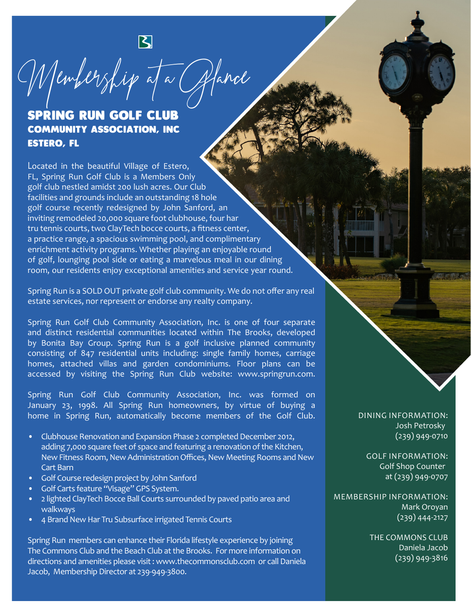

## SPRING RUN GOLF CLUB COMMUNITY ASSOCIATION, INC ESTERO, FL

Located in the beautiful Village of Estero, FL, Spring Run Golf Club is a Members Only golf club nestled amidst 200 lush acres. Our Club facilities and grounds include an outstanding 18 hole golf course recently redesigned by John Sanford, an inviting remodeled 20,000 square foot clubhouse, four har tru tennis courts, two ClayTech bocce courts, a fitness center, a practice range, a spacious swimming pool, and complimentary enrichment activity programs. Whether playing an enjoyable round of golf, lounging pool side or eating a marvelous meal in our dining room, our residents enjoy exceptional amenities and service year round.

Spring Run is a SOLD OUT private golf club community. We do not offer any real estate services, nor represent or endorse any realty company.

Spring Run Golf Club Community Association, Inc. is one of four separate and distinct residential communities located within The Brooks, developed by Bonita Bay Group. Spring Run is a golf inclusive planned community consisting of 847 residential units including: single family homes, carriage homes, attached villas and garden condominiums. Floor plans can be accessed by visiting the Spring Run Club website: www.springrun.com.

Spring Run Golf Club Community Association, Inc. was formed on January 23, 1998. All Spring Run homeowners, by virtue of buying a home in Spring Run, automatically become members of the Golf Club.

- Clubhouse Renovation and Expansion Phase 2 completed December 2012, adding 7,000 square feet of space and featuring a renovation of the Kitchen, New Fitness Room, New Administration Offices, New Meeting Rooms and New Cart Barn
- Golf Course redesign project by John Sanford
- Golf Carts feature "Visage" GPS System.
- 2 lighted ClayTech Bocce Ball Courts surrounded by paved patio area and walkways
- 4 Brand New Har Tru Subsurface irrigated Tennis Courts

Spring Run members can enhance their Florida lifestyle experience by joining The Commons Club and the Beach Club at the Brooks. For more information on directions and amenities please visit : www.thecommonsclub.com or call Daniela Jacob, Membership Director at 239-949-3800.

DINING INFORMATION: Josh Petrosky (239) 949-0710

GOLF INFORMATION: Golf Shop Counter at (239) 949-0707

MEMBERSHIP INFORMATION: Mark Oroyan (239) 444-2127

> THE COMMONS CLUB Daniela Jacob (239) 949-3816